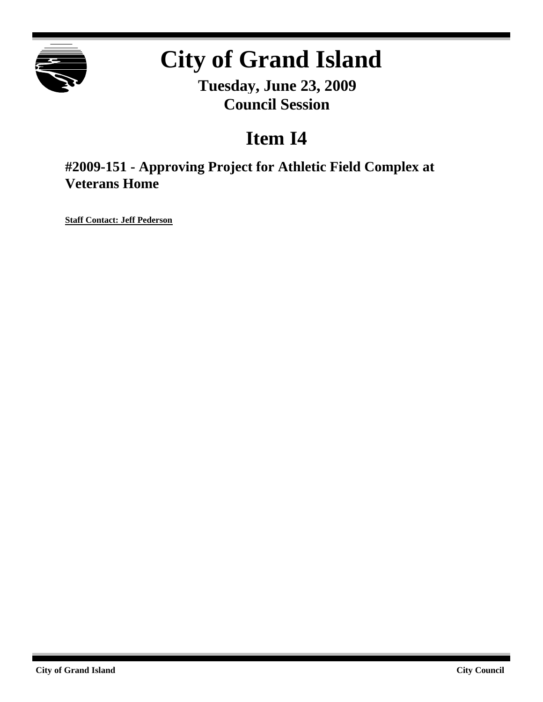

# **City of Grand Island**

**Tuesday, June 23, 2009 Council Session**

# **Item I4**

**#2009-151 - Approving Project for Athletic Field Complex at Veterans Home**

**Staff Contact: Jeff Pederson**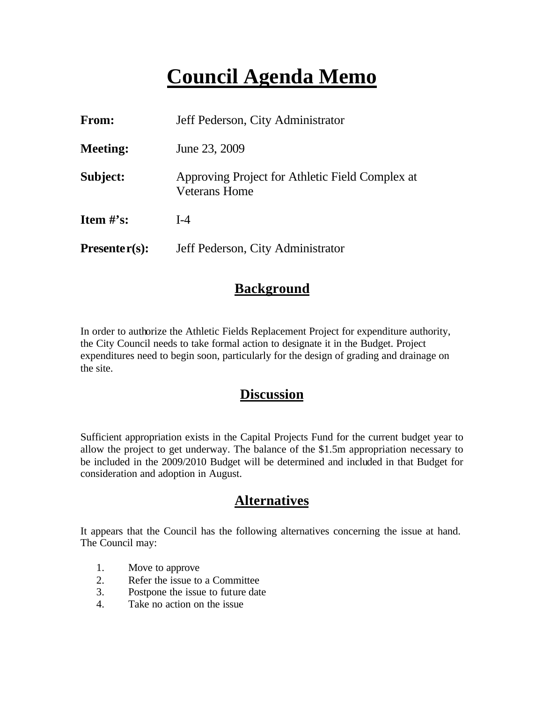# **Council Agenda Memo**

| From:           | Jeff Pederson, City Administrator                                       |  |
|-----------------|-------------------------------------------------------------------------|--|
| <b>Meeting:</b> | June 23, 2009                                                           |  |
| Subject:        | Approving Project for Athletic Field Complex at<br><b>Veterans</b> Home |  |
| Item $\#$ 's:   | $I-4$                                                                   |  |
| $Presenter(s):$ | Jeff Pederson, City Administrator                                       |  |

#### **Background**

In order to authorize the Athletic Fields Replacement Project for expenditure authority, the City Council needs to take formal action to designate it in the Budget. Project expenditures need to begin soon, particularly for the design of grading and drainage on the site.

#### **Discussion**

Sufficient appropriation exists in the Capital Projects Fund for the current budget year to allow the project to get underway. The balance of the \$1.5m appropriation necessary to be included in the 2009/2010 Budget will be determined and included in that Budget for consideration and adoption in August.

#### **Alternatives**

It appears that the Council has the following alternatives concerning the issue at hand. The Council may:

- 1. Move to approve
- 2. Refer the issue to a Committee
- 3. Postpone the issue to future date
- 4. Take no action on the issue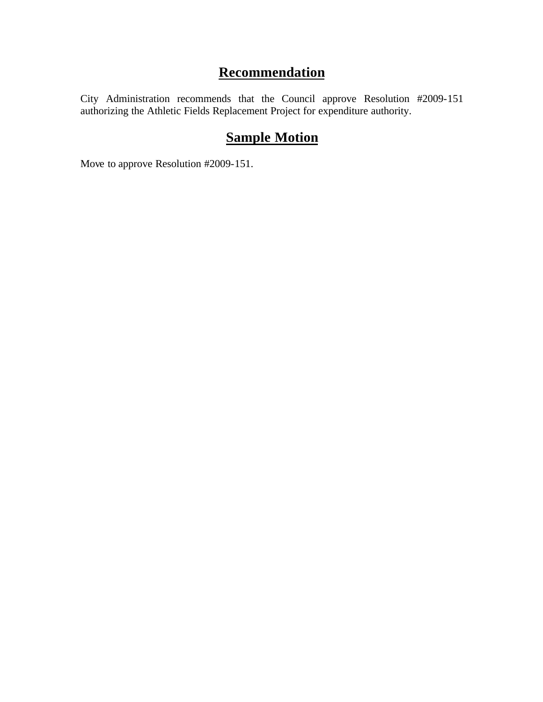### **Recommendation**

City Administration recommends that the Council approve Resolution #2009-151 authorizing the Athletic Fields Replacement Project for expenditure authority.

### **Sample Motion**

Move to approve Resolution #2009-151.